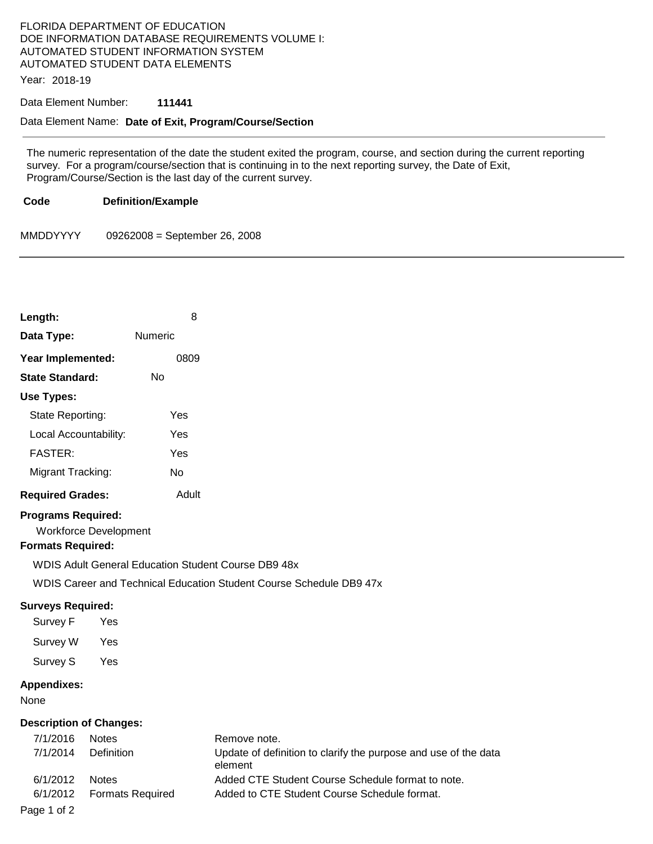## FLORIDA DEPARTMENT OF EDUCATION DOE INFORMATION DATABASE REQUIREMENTS VOLUME I: AUTOMATED STUDENT INFORMATION SYSTEM AUTOMATED STUDENT DATA ELEMENTS

Year: 2018-19

## Data Element Number: **111441**

## Data Element Name: **Date of Exit, Program/Course/Section**

The numeric representation of the date the student exited the program, course, and section during the current reporting survey. For a program/course/section that is continuing in to the next reporting survey, the Date of Exit, Program/Course/Section is the last day of the current survey.

**Code Definition/Example** 

MMDDYYYY 09262008 = September 26, 2008

| Length:                                                                                                   |                                            | 8         |                                                                                                                                   |
|-----------------------------------------------------------------------------------------------------------|--------------------------------------------|-----------|-----------------------------------------------------------------------------------------------------------------------------------|
| Data Type:                                                                                                | Numeric                                    |           |                                                                                                                                   |
| Year Implemented:                                                                                         |                                            | 0809      |                                                                                                                                   |
| <b>State Standard:</b>                                                                                    | <b>No</b>                                  |           |                                                                                                                                   |
| Use Types:                                                                                                |                                            |           |                                                                                                                                   |
| State Reporting:                                                                                          |                                            | Yes       |                                                                                                                                   |
| Local Accountability:                                                                                     |                                            | Yes       |                                                                                                                                   |
| <b>FASTER:</b>                                                                                            |                                            | Yes       |                                                                                                                                   |
| Migrant Tracking:                                                                                         |                                            | <b>No</b> |                                                                                                                                   |
| <b>Required Grades:</b>                                                                                   |                                            | Adult     |                                                                                                                                   |
| <b>Programs Required:</b><br><b>Formats Required:</b><br><b>Surveys Required:</b><br>Survey F<br>Survey W | <b>Workforce Development</b><br>Yes<br>Yes |           | <b>WDIS Adult General Education Student Course DB9 48x</b><br>WDIS Career and Technical Education Student Course Schedule DB9 47x |
| Survey S<br><b>Appendixes:</b><br>None                                                                    | Yes                                        |           |                                                                                                                                   |
| <b>Description of Changes:</b><br>7/1/2016<br>7/1/2014                                                    | <b>Notes</b><br>Definition                 |           | Remove note.<br>Update of definition to clarify the pur<br>element                                                                |

e note. of definition to clarify the purpose and use of the data 6/1/2012 Notes Added CTE Student Course Schedule format to note. 6/1/2012 Formats Required Added to CTE Student Course Schedule format.

Page 1 of 2